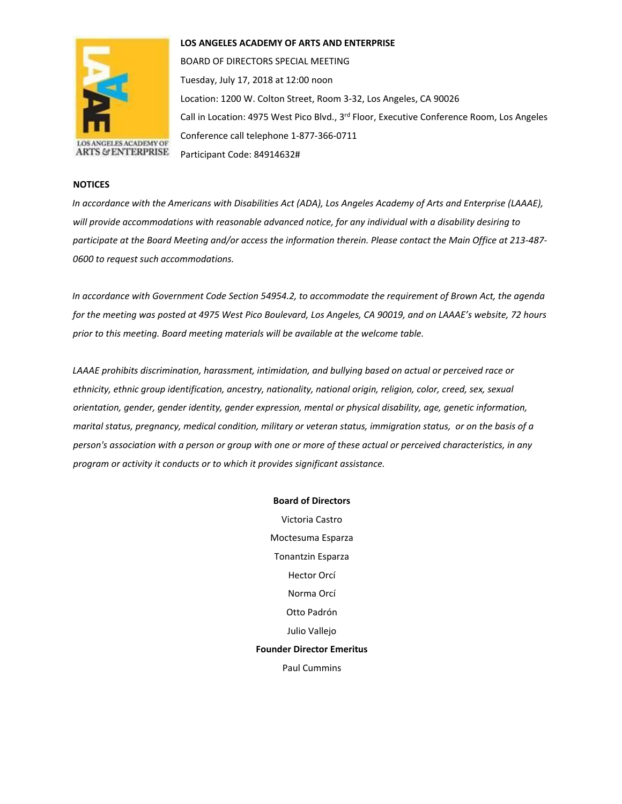

## **LOS ANGELES ACADEMY OF ARTS AND ENTERPRISE**

BOARD OF DIRECTORS SPECIAL MEETING Tuesday, July 17, 2018 at 12:00 noon Location: 1200 W. Colton Street, Room 3-32, Los Angeles, CA 90026 Call in Location: 4975 West Pico Blvd., 3<sup>rd</sup> Floor, Executive Conference Room, Los Angeles Conference call telephone 1-877-366-0711 Participant Code: 84914632#

## **NOTICES**

*In accordance with the Americans with Disabilities Act (ADA), Los Angeles Academy of Arts and Enterprise (LAAAE), will provide accommodations with reasonable advanced notice, for any individual with a disability desiring to participate at the Board Meeting and/or access the information therein. Please contact the Main Office at 213-487- 0600 to request such accommodations.* 

*In accordance with Government Code Section 54954.2, to accommodate the requirement of Brown Act, the agenda for the meeting was posted at 4975 West Pico Boulevard, Los Angeles, CA 90019, and on LAAAE's website, 72 hours prior to this meeting. Board meeting materials will be available at the welcome table.* 

*LAAAE prohibits discrimination, harassment, intimidation, and bullying based on actual or perceived race or ethnicity, ethnic group identification, ancestry, nationality, national origin, religion, color, creed, sex, sexual orientation, gender, gender identity, gender expression, mental or physical disability, age, genetic information, marital status, pregnancy, medical condition, military or veteran status, immigration status, or on the basis of a person's association with a person or group with one or more of these actual or perceived characteristics, in any program or activity it conducts or to which it provides significant assistance.* 

#### **Board of Directors**

Victoria Castro Moctesuma Esparza Tonantzin Esparza Hector Orcí Norma Orcí Otto Padrón Julio Vallejo **Founder Director Emeritus** Paul Cummins